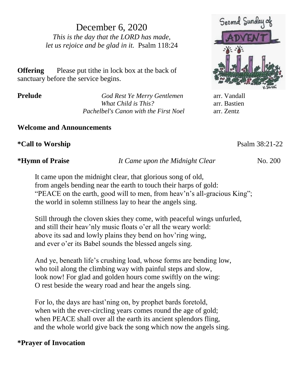December 6, 2020 *This is the day that the LORD has made, let us rejoice and be glad in it.* Psalm 118:24

**Offering** Please put tithe in lock box at the back of sanctuary before the service begins.

**Prelude** *God Rest Ye Merry Gentlemen* arr. Vandall *What Child is This?* arr. Bastien *Pachelbel's Canon with the First Noel* arr. Zentz

**Welcome and Announcements**

**\*Call to Worship** Psalm 38:21-22

**\*Hymn of Praise** *It Came upon the Midnight Clear*No. 200

It came upon the midnight clear, that glorious song of old, from angels bending near the earth to touch their harps of gold: "PEACE on the earth, good will to men, from heav'n's all-gracious King"; the world in solemn stillness lay to hear the angels sing.

Still through the cloven skies they come, with peaceful wings unfurled, and still their heav'nly music floats o'er all the weary world: above its sad and lowly plains they bend on hov'ring wing, and ever o'er its Babel sounds the blessed angels sing.

And ye, beneath life's crushing load, whose forms are bending low, who toil along the climbing way with painful steps and slow, look now! For glad and golden hours come swiftly on the wing: O rest beside the weary road and hear the angels sing.

For lo, the days are hast'ning on, by prophet bards foretold, when with the ever-circling years comes round the age of gold; when PEACE shall over all the earth its ancient splendors fling, and the whole world give back the song which now the angels sing.

# **\*Prayer of Invocation**

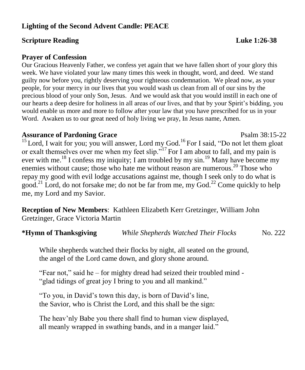# **Lighting of the Second Advent Candle: PEACE**

## **Scripture Reading Luke 1:26-38**

### **Prayer of Confession**

Our Gracious Heavenly Father, we confess yet again that we have fallen short of your glory this week. We have violated your law many times this week in thought, word, and deed. We stand guilty now before you, rightly deserving your righteous condemnation. We plead now, as your people, for your mercy in our lives that you would wash us clean from all of our sins by the precious blood of your only Son, Jesus. And we would ask that you would instill in each one of our hearts a deep desire for holiness in all areas of our lives, and that by your Spirit's bidding, you would enable us more and more to follow after your law that you have prescribed for us in your Word. Awaken us to our great need of holy living we pray, In Jesus name, Amen.

### **Assurance of Pardoning Grace** Psalm 38:15-22

<sup>15</sup> Lord, I wait for you; you will answer, Lord my God.<sup>16</sup> For I said, "Do not let them gloat or exalt themselves over me when my feet slip."<sup>17</sup>For I am about to fall, and my pain is ever with me.<sup>18</sup> I confess my iniquity; I am troubled by my sin.<sup>19</sup> Many have become my enemies without cause; those who hate me without reason are numerous.<sup>20</sup> Those who repay my good with evil lodge accusations against me, though I seek only to do what is good.<sup>21</sup> Lord, do not forsake me; do not be far from me, my God.<sup>22</sup> Come quickly to help me, my Lord and my Savior.

**Reception of New Members**: Kathleen Elizabeth Kerr Gretzinger, William John Gretzinger, Grace Victoria Martin

| *Hymn of Thanksgiving | While Shepherds Watched Their Flocks | No. 222 |
|-----------------------|--------------------------------------|---------|
|-----------------------|--------------------------------------|---------|

While shepherds watched their flocks by night, all seated on the ground, the angel of the Lord came down, and glory shone around.

"Fear not," said he – for mighty dread had seized their troubled mind - "glad tidings of great joy I bring to you and all mankind."

"To you, in David's town this day, is born of David's line, the Savior, who is Christ the Lord, and this shall be the sign:

The heav'nly Babe you there shall find to human view displayed, all meanly wrapped in swathing bands, and in a manger laid."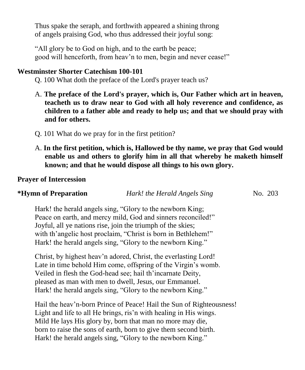Thus spake the seraph, and forthwith appeared a shining throng of angels praising God, who thus addressed their joyful song:

"All glory be to God on high, and to the earth be peace; good will henceforth, from heav'n to men, begin and never cease!"

### **Westminster Shorter Catechism 100-101**

Q. 100 What doth the preface of the Lord's prayer teach us?

- A. **The preface of the Lord's prayer, which is, Our Father which art in heaven, teacheth us to draw near to God with all holy reverence and confidence, as children to a father able and ready to help us; and that we should pray with and for others.**
- Q. 101 What do we pray for in the first petition?
- A. **In the first petition, which is, Hallowed be thy name, we pray that God would enable us and others to glorify him in all that whereby he maketh himself known; and that he would dispose all things to his own glory.**

### **Prayer of Intercession**

|  | *Hymn of Preparation | Hark! the Herald Angels Sing | No. 203 |
|--|----------------------|------------------------------|---------|
|--|----------------------|------------------------------|---------|

Hark! the herald angels sing, "Glory to the newborn King; Peace on earth, and mercy mild, God and sinners reconciled!" Joyful, all ye nations rise, join the triumph of the skies; with th'angelic host proclaim, "Christ is born in Bethlehem!" Hark! the herald angels sing, "Glory to the newborn King."

Christ, by highest heav'n adored, Christ, the everlasting Lord! Late in time behold Him come, offspring of the Virgin's womb. Veiled in flesh the God-head see; hail th'incarnate Deity, pleased as man with men to dwell, Jesus, our Emmanuel. Hark! the herald angels sing, "Glory to the newborn King."

Hail the heav'n-born Prince of Peace! Hail the Sun of Righteousness! Light and life to all He brings, ris'n with healing in His wings. Mild He lays His glory by, born that man no more may die, born to raise the sons of earth, born to give them second birth. Hark! the herald angels sing, "Glory to the newborn King."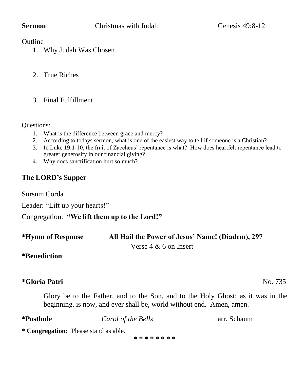### **Outline**

- 1. Why Judah Was Chosen
- 2. True Riches
- 3. Final Fulfillment

Questions:

- 1. What is the difference between grace and mercy?
- 2. According to todays sermon, what is one of the easiest way to tell if someone is a Christian?
- 3. In Luke 19:1-10, the fruit of Zaccheus' repentance is what? How does heartfelt repentance lead to greater generosity in our financial giving?
- 4. Why does sanctification hurt so much?

# **The LORD's Supper**

Sursum Corda

Leader: "Lift up your hearts!"

Congregation: **"We lift them up to the Lord!"**

| *Hymn of Response | All Hail the Power of Jesus' Name! (Diadem), 297 |
|-------------------|--------------------------------------------------|
|                   | Verse $4 \& 6$ on Insert                         |

# **\*Benediction**

# **\*Gloria Patri** No. 735

Glory be to the Father, and to the Son, and to the Holy Ghost; as it was in the beginning, is now, and ever shall be, world without end. Amen, amen.

| *Postlude | Carol of the Bells | arr. Schaum |  |
|-----------|--------------------|-------------|--|
|-----------|--------------------|-------------|--|

**\* Congregation:** Please stand as able.

**\* \* \* \* \* \* \* \***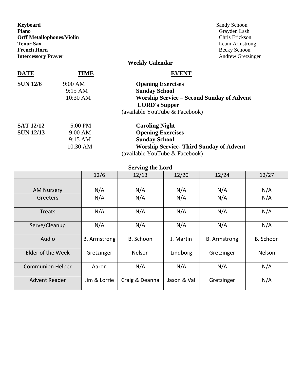| Keyboard<br>Piano<br><b>Orff Metallophones/Violin</b><br><b>Tenor Sax</b><br><b>French Horn</b> |                   | Sandy Schoon<br>Grayden Lash<br>Chris Erickson<br>Leam Armstrong<br>Becky Schoon |
|-------------------------------------------------------------------------------------------------|-------------------|----------------------------------------------------------------------------------|
| <b>Intercessory Prayer</b>                                                                      |                   | Andrew Gretzinger                                                                |
|                                                                                                 |                   | Weekly Calendar                                                                  |
| <b>DATE</b>                                                                                     | TIME              | <b>EVENT</b>                                                                     |
| <b>SUN 12/6</b>                                                                                 | 9:00 AM           | <b>Opening Exercises</b>                                                         |
|                                                                                                 | $9:15 \text{ AM}$ | <b>Sunday School</b>                                                             |
|                                                                                                 | 10:30 AM          | <b>Worship Service - Second Sunday of Advent</b>                                 |
|                                                                                                 |                   | <b>LORD's Supper</b>                                                             |
|                                                                                                 |                   | (available YouTube & Facebook)                                                   |
| <b>SAT 12/12</b>                                                                                | 5:00 PM           | <b>Caroling Night</b>                                                            |
| <b>SUN 12/13</b>                                                                                | 9:00 AM           | <b>Opening Exercises</b>                                                         |
|                                                                                                 | 9:15 AM           | <b>Sunday School</b>                                                             |
|                                                                                                 | 10:30 AM          | <b>Worship Service- Third Sunday of Advent</b>                                   |
|                                                                                                 |                   | (available YouTube & Facebook)                                                   |

**Serving the Lord**

|                         | 12/6                | 12/13          | 12/20       | 12/24               | 12/27         |
|-------------------------|---------------------|----------------|-------------|---------------------|---------------|
| <b>AM Nursery</b>       | N/A                 | N/A            | N/A         | N/A                 | N/A           |
| Greeters                | N/A                 | N/A            | N/A         | N/A                 | N/A           |
|                         |                     |                |             |                     |               |
| Treats                  | N/A                 | N/A            | N/A         | N/A                 | N/A           |
| Serve/Cleanup           | N/A                 | N/A            | N/A         | N/A                 | N/A           |
| Audio                   | <b>B.</b> Armstrong | B. Schoon      | J. Martin   | <b>B.</b> Armstrong | B. Schoon     |
| Elder of the Week       | Gretzinger          | Nelson         | Lindborg    | Gretzinger          | <b>Nelson</b> |
| <b>Communion Helper</b> | Aaron               | N/A            | N/A         | N/A                 | N/A           |
| Advent Reader           | Jim & Lorrie        | Craig & Deanna | Jason & Val | Gretzinger          | N/A           |